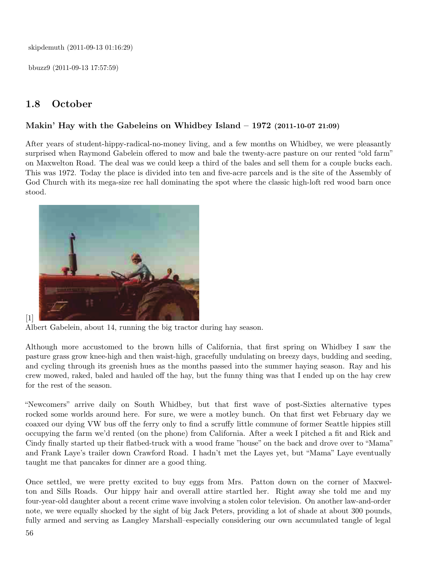skipdemuth (2011-09-13 01:16:29)

bbuzz9 (2011-09-13 17:57:59)

## 1.8 October

## Makin' Hay with the Gabeleins on Whidbey Island – 1972 (2011-10-07 21:09)

After years of student-hippy-radical-no-money living, and a few months on Whidbey, we were pleasantly surprised when Raymond Gabelein offered to mow and bale the twenty-acre pasture on our rented "old farm" on Maxwelton Road. The deal was we could keep a third of the bales and sell them for a couple bucks each. This was 1972. Today the place is divided into ten and five-acre parcels and is the site of the Assembly of God Church with its mega-size rec hall dominating the spot where the classic high-loft red wood barn once stood.



[1]

Albert Gabelein, about 14, running the big tractor during hay season.

Although more accustomed to the brown hills of California, that first spring on Whidbey I saw the pasture grass grow knee-high and then waist-high, gracefully undulating on breezy days, budding and seeding, and cycling through its greenish hues as the months passed into the summer haying season. Ray and his crew mowed, raked, baled and hauled off the hay, but the funny thing was that I ended up on the hay crew for the rest of the season.

"Newcomers" arrive daily on South Whidbey, but that first wave of post-Sixties alternative types rocked some worlds around here. For sure, we were a motley bunch. On that first wet February day we coaxed our dying VW bus off the ferry only to find a scruffy little commune of former Seattle hippies still occupying the farm we'd rented (on the phone) from California. After a week I pitched a fit and Rick and Cindy finally started up their flatbed-truck with a wood frame "house" on the back and drove over to "Mama" and Frank Laye's trailer down Crawford Road. I hadn't met the Layes yet, but "Mama" Laye eventually taught me that pancakes for dinner are a good thing.

Once settled, we were pretty excited to buy eggs from Mrs. Patton down on the corner of Maxwelton and Sills Roads. Our hippy hair and overall attire startled her. Right away she told me and my four-year-old daughter about a recent crime wave involving a stolen color television. On another law-and-order note, we were equally shocked by the sight of big Jack Peters, providing a lot of shade at about 300 pounds, fully armed and serving as Langley Marshall–especially considering our own accumulated tangle of legal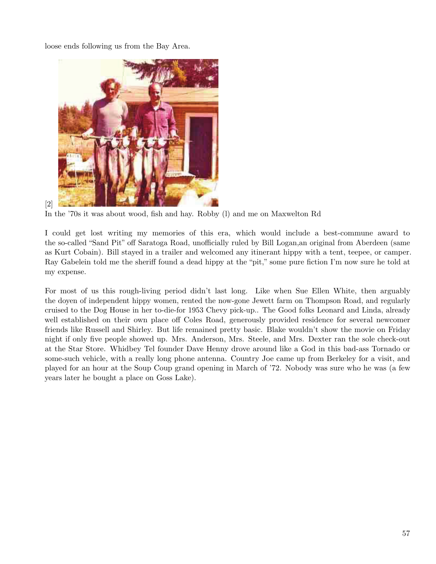loose ends following us from the Bay Area.

[2]



In the '70s it was about wood, fish and hay. Robby (l) and me on Maxwelton Rd

I could get lost writing my memories of this era, which would include a best-commune award to the so-called "Sand Pit" off Saratoga Road, unofficially ruled by Bill Logan, an original from Aberdeen (same as Kurt Cobain). Bill stayed in a trailer and welcomed any itinerant hippy with a tent, teepee, or camper. Ray Gabelein told me the sheriff found a dead hippy at the "pit," some pure fiction I'm now sure he told at my expense.

For most of us this rough-living period didn't last long. Like when Sue Ellen White, then arguably the doyen of independent hippy women, rented the now-gone Jewett farm on Thompson Road, and regularly cruised to the Dog House in her to-die-for 1953 Chevy pick-up.. The Good folks Leonard and Linda, already well established on their own place off Coles Road, generously provided residence for several newcomer friends like Russell and Shirley. But life remained pretty basic. Blake wouldn't show the movie on Friday night if only five people showed up. Mrs. Anderson, Mrs. Steele, and Mrs. Dexter ran the sole check-out at the Star Store. Whidbey Tel founder Dave Henny drove around like a God in this bad-ass Tornado or some-such vehicle, with a really long phone antenna. Country Joe came up from Berkeley for a visit, and played for an hour at the Soup Coup grand opening in March of '72. Nobody was sure who he was (a few years later he bought a place on Goss Lake).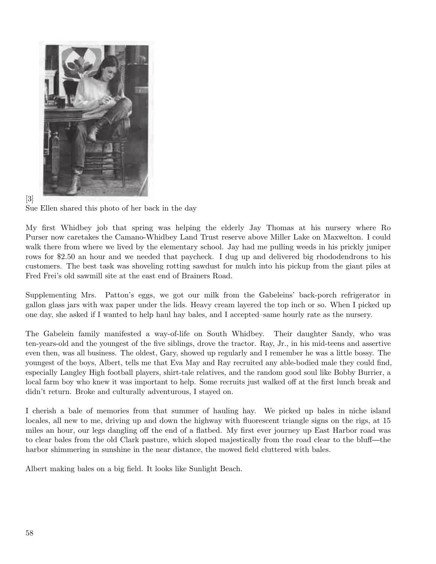



Sue Ellen shared this photo of her back in the day

My first Whidbey job that spring was helping the elderly Jay Thomas at his nursery where Ro Purser now caretakes the Camano-Whidbey Land Trust reserve above Miller Lake on Maxwelton. I could walk there from where we lived by the elementary school. Jay had me pulling weeds in his prickly juniper rows for \$2.50 an hour and we needed that paycheck. I dug up and delivered big rhododendrons to his customers. The best task was shoveling rotting sawdust for mulch into his pickup from the giant piles at Fred Frei's old sawmill site at the east end of Brainers Road.

Supplementing Mrs. Patton's eggs, we got our milk from the Gabeleins' back-porch refrigerator in gallon glass jars with wax paper under the lids. Heavy cream layered the top inch or so. When I picked up one day, she asked if I wanted to help haul hay bales, and I accepted–same hourly rate as the nursery.

The Gabelein family manifested a way-of-life on South Whidbey. Their daughter Sandy, who was ten-years-old and the youngest of the five siblings, drove the tractor. Ray, Jr., in his mid-teens and assertive even then, was all business. The oldest, Gary, showed up regularly and I remember he was a little bossy. The youngest of the boys, Albert, tells me that Eva May and Ray recruited any able-bodied male they could find, especially Langley High football players, shirt-tale relatives, and the random good soul like Bobby Burrier, a local farm boy who knew it was important to help. Some recruits just walked off at the first lunch break and didn't return. Broke and culturally adventurous, I stayed on.

I cherish a bale of memories from that summer of hauling hay. We picked up bales in niche island locales, all new to me, driving up and down the highway with fluorescent triangle signs on the rigs, at 15 miles an hour, our legs dangling off the end of a flatbed. My first ever journey up East Harbor road was to clear bales from the old Clark pasture, which sloped majestically from the road clear to the bluff—the harbor shimmering in sunshine in the near distance, the mowed field cluttered with bales.

Albert making bales on a big field. It looks like Sunlight Beach.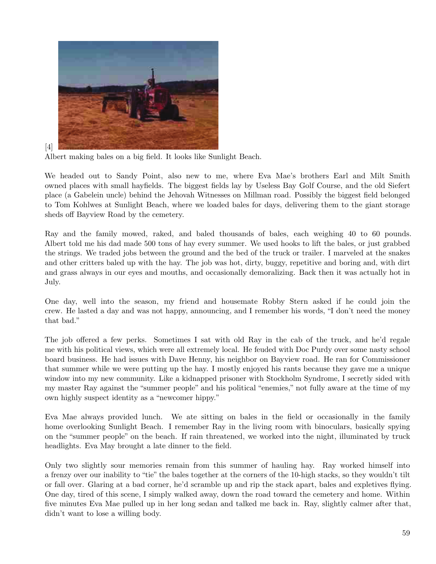

 $[4]$ 

Albert making bales on a big field. It looks like Sunlight Beach.

We headed out to Sandy Point, also new to me, where Eva Mae's brothers Earl and Milt Smith owned places with small hayfields. The biggest fields lay by Useless Bay Golf Course, and the old Siefert place (a Gabelein uncle) behind the Jehovah Witnesses on Millman road. Possibly the biggest field belonged to Tom K ohlwes at Sunlight Beach, where we loaded bales for days, delivering them to the giant storage sheds off Bayview Road by the cemetery.

Ray and the family mowed, raked, and baled thousands of bales, each weighing 40 to 60 pounds. Albert told me his dad made 500 tons of hay every summer. We used hooks to lift the bales, or just grabbed the strings. We traded jobs between the ground and the bed of the truck or trailer. I marveled at the snakes and other critters baled up with the hay. The job was hot, dirty, buggy, repetitive and boring and, with dirt and grass always in our eyes and mouths, and occasionally demoralizing. Back then it was actually hot in July.

One day, well into the season, my friend and housemate Robby Stern asked if he could join the crew. He lasted a day and was not happy, announcing, and I remember his words, "I don't need the money that bad."

The job offered a few perks. Sometimes I sat with old Ray in the cab of the truck, and he'd regale me with his political views, which were all extremely local. He feuded with Doc Purdy over some nasty school board business. He had issues with Dave Henny, his neighbor on Bayview road. He ran for Commissioner that summer while we were putting up the hay. I mostly enjoyed his rants because they gave me a unique window into my new community. Like a kidnapped prisoner with Stockholm Syndrome, I secretly sided with my master Ray against the "summer people" and his political "enemies," not fully aware at the time of my own highly suspect identity as a "newcomer hippy."

Eva Mae always provided lunch. We ate sitting on bales in the field or occasionally in the family home overlooking Sunlight Beach. I remember Ray in the living room with binoculars, basically spying on the "summer people" on the beach. If rain threatened, we worked into the night, illuminated by truck headlights. Eva May brought a late dinner to the field.

Only two slightly sour memories remain from this summer of hauling hay. Ray worked himself into a frenzy over our inability to "tie" the bales together at the corners of the 10-high stacks, so they wouldn't tilt or fall over. Glaring at a bad corner, he'd scramble up and rip the stack apart, bales and expletives flying. One day, tired of this scene, I simply walked away, down the road toward the cemetery and home. Within five minutes Eva Mae pulled up in her long sedan and talked me back in. Ray, slightly calmer after that, didn't want to lose a willing body.